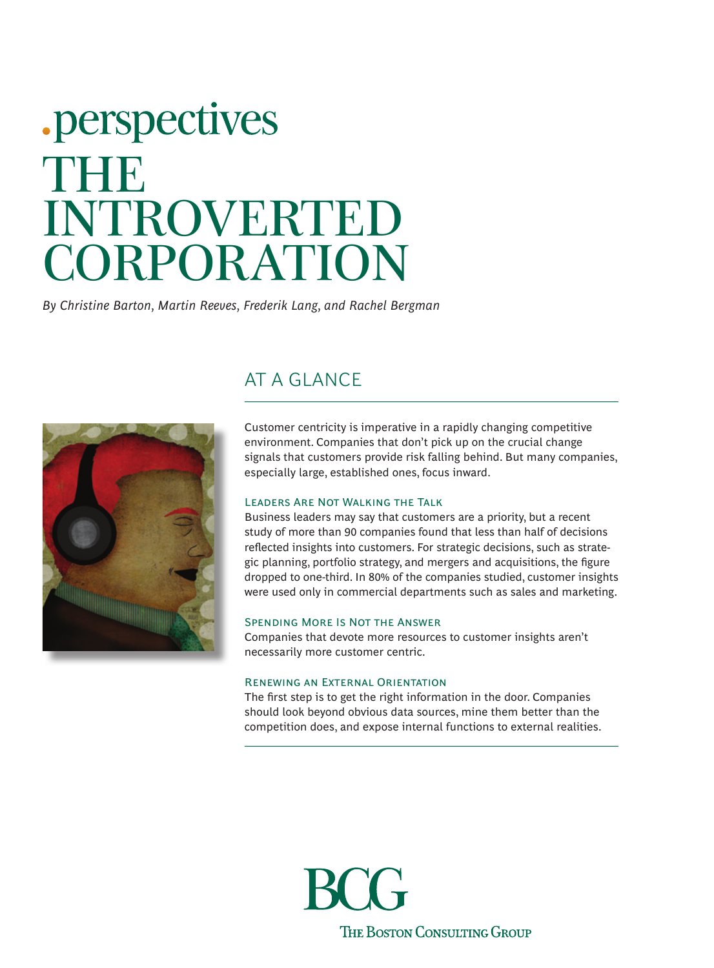# .perspectives THEIR INTROVERTED CORPORATION

*By Christine Barton, Martin Reeves, Frederik Lang, and Rachel Bergman*



## AT A GLANCE

Customer centricity is imperative in a rapidly changing competitive environment. Companies that don't pick up on the crucial change signals that customers provide risk falling behind. But many companies, especially large, established ones, focus inward.

### Leaders Are Not Walking the Talk

Business leaders may say that customers are a priority, but a recent study of more than 90 companies found that less than half of decisions refected insights into customers. For strategic decisions, such as strategic planning, portfolio strategy, and mergers and acquisitions, the fgure dropped to one-third. In 80% of the companies studied, customer insights were used only in commercial departments such as sales and marketing.

#### Spending More Is Not the Answer

Companies that devote more resources to customer insights aren't necessarily more customer centric.

### Renewing an External Orientation

The frst step is to get the right information in the door. Companies should look beyond obvious data sources, mine them better than the competition does, and expose internal functions to external realities.

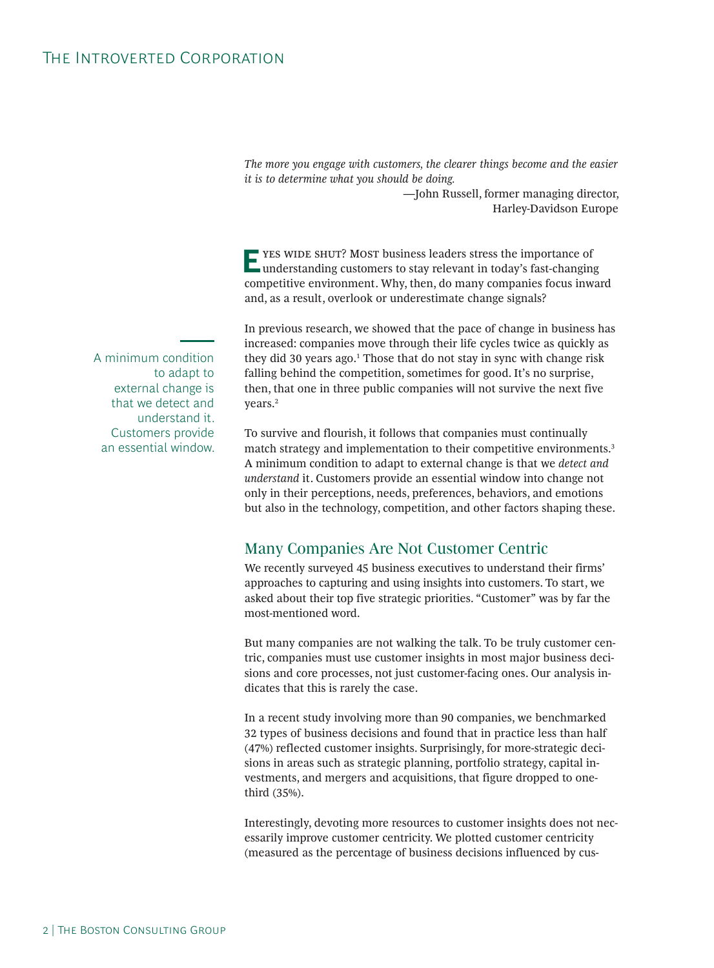*The more you engage with customers, the clearer things become and the easier it is to determine what you should be doing.* 

> —John Russell, former managing director, Harley-Davidson Europe

**E**YES WIDE SHUT? MOST business leaders stress the importance of understanding customers to stay relevant in today's fast-changing competitive environment. Why, then, do many companies focus inward and, as a result, overlook or underestimate change signals?

In previous research, we showed that the pace of change in business has increased: companies move through their life cycles twice as quickly as they did 30 years ago.<sup>1</sup> Those that do not stay in sync with change risk falling behind the competition, sometimes for good. It's no surprise, then, that one in three public companies will not survive the next five years.2

To survive and flourish, it follows that companies must continually match strategy and implementation to their competitive environments.<sup>3</sup> A minimum condition to adapt to external change is that we *detect and understand* it. Customers provide an essential window into change not only in their perceptions, needs, preferences, behaviors, and emotions but also in the technology, competition, and other factors shaping these.

## Many Companies Are Not Customer Centric

We recently surveyed 45 business executives to understand their firms' approaches to capturing and using insights into customers. To start, we asked about their top five strategic priorities. "Customer" was by far the most-mentioned word.

But many companies are not walking the talk. To be truly customer centric, companies must use customer insights in most major business decisions and core processes, not just customer-facing ones. Our analysis indicates that this is rarely the case.

In a recent study involving more than 90 companies, we benchmarked 32 types of business decisions and found that in practice less than half (47%) reflected customer insights. Surprisingly, for more-strategic decisions in areas such as strategic planning, portfolio strategy, capital investments, and mergers and acquisitions, that figure dropped to onethird (35%).

Interestingly, devoting more resources to customer insights does not necessarily improve customer centricity. We plotted customer centricity (measured as the percentage of business decisions influenced by cus-

A minimum condition to adapt to external change is that we detect and understand it. Customers provide an essential window.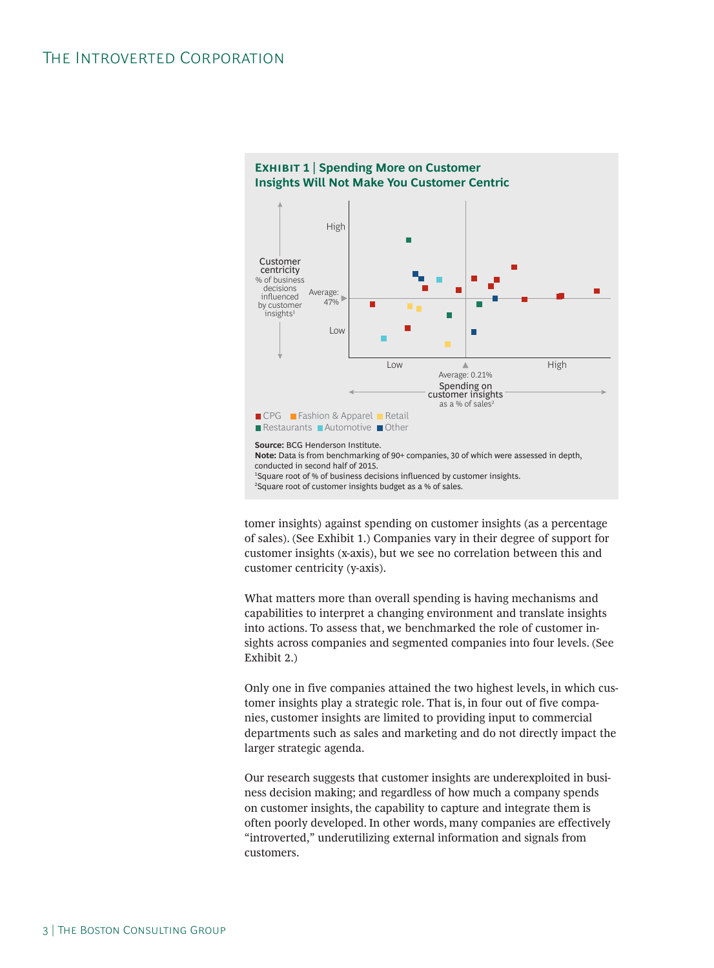

tomer insights) against spending on customer insights (as a percentage of sales). (See Exhibit 1.) Companies vary in their degree of support for customer insights (x-axis), but we see no correlation between this and customer centricity (y-axis).

What matters more than overall spending is having mechanisms and capabilities to interpret a changing environment and translate insights into actions. To assess that, we benchmarked the role of customer insights across companies and segmented companies into four levels. (See Exhibit 2.)

Only one in five companies attained the two highest levels, in which customer insights play a strategic role. That is, in four out of five companies, customer insights are limited to providing input to commercial departments such as sales and marketing and do not directly impact the larger strategic agenda.

Our research suggests that customer insights are underexploited in business decision making; and regardless of how much a company spends on customer insights, the capability to capture and integrate them is often poorly developed. In other words, many companies are effectively "introverted," underutilizing external information and signals from customers.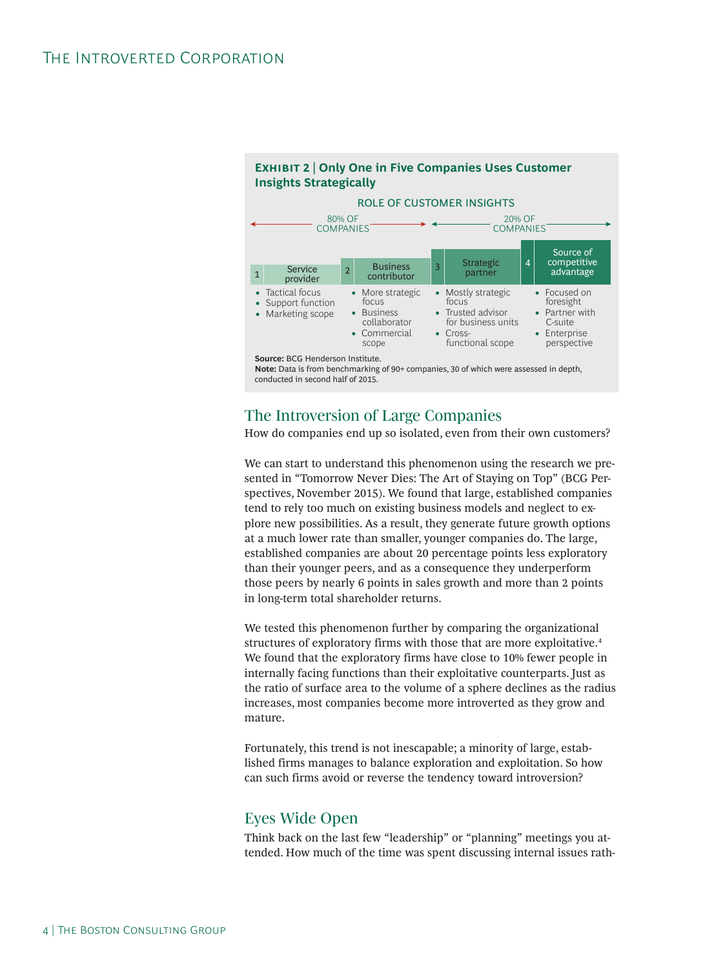## **Exhibit 2 | Only One in Five Companies Uses Customer Insights Strategically**



conducted in second half of 2015.

## The Introversion of Large Companies

How do companies end up so isolated, even from their own customers?

We can start to understand this phenomenon using the research we presented in "Tomorrow Never Dies: The Art of Staying on Top" (BCG Perspectives, November 2015). We found that large, established companies tend to rely too much on existing business models and neglect to explore new possibilities. As a result, they generate future growth options at a much lower rate than smaller, younger companies do. The large, established companies are about 20 percentage points less exploratory than their younger peers, and as a consequence they underperform those peers by nearly 6 points in sales growth and more than 2 points in long-term total shareholder returns.

We tested this phenomenon further by comparing the organizational structures of exploratory firms with those that are more exploitative.4 We found that the exploratory firms have close to 10% fewer people in internally facing functions than their exploitative counterparts. Just as the ratio of surface area to the volume of a sphere declines as the radius increases, most companies become more introverted as they grow and mature.

Fortunately, this trend is not inescapable; a minority of large, established firms manages to balance exploration and exploitation. So how can such firms avoid or reverse the tendency toward introversion?

## Eyes Wide Open

Think back on the last few "leadership" or "planning" meetings you attended. How much of the time was spent discussing internal issues rath-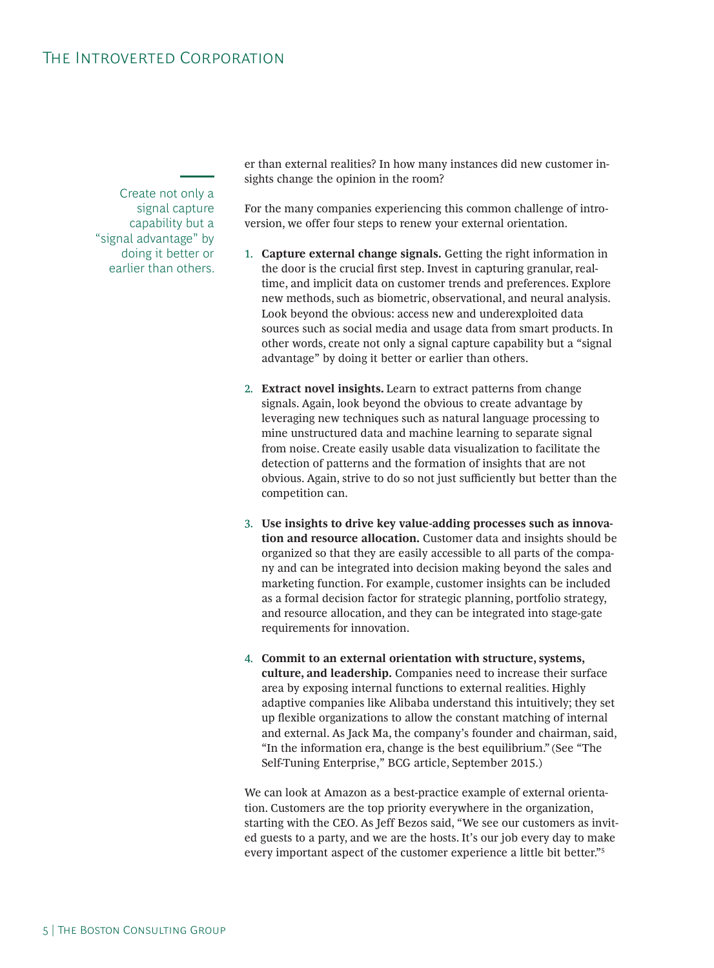Create not only a signal capture capability but a "signal advantage" by doing it better or earlier than others.

er than external realities? In how many instances did new customer insights change the opinion in the room?

For the many companies experiencing this common challenge of introversion, we offer four steps to renew your external orientation.

- 1. **Capture external change signals.** Getting the right information in the door is the crucial frst step. Invest in capturing granular, realtime, and implicit data on customer trends and preferences. Explore new methods, such as biometric, observational, and neural analysis. Look beyond the obvious: access new and underexploited data sources such as social media and usage data from smart products. In other words, create not only a signal capture capability but a "signal advantage" by doing it better or earlier than others.
- 2. **Extract novel insights.** Learn to extract patterns from change signals. Again, look beyond the obvious to create advantage by leveraging new techniques such as natural language processing to mine unstructured data and machine learning to separate signal from noise. Create easily usable data visualization to facilitate the detection of patterns and the formation of insights that are not obvious. Again, strive to do so not just sufficiently but better than the competition can.
- 3. **Use insights to drive key value-adding processes such as innovation and resource allocation.** Customer data and insights should be organized so that they are easily accessible to all parts of the company and can be integrated into decision making beyond the sales and marketing function. For example, customer insights can be included as a formal decision factor for strategic planning, portfolio strategy, and resource allocation, and they can be integrated into stage-gate requirements for innovation.
- 4. **Commit to an external orientation with structure, systems, culture, and leadership.** Companies need to increase their surface area by exposing internal functions to external realities. Highly adaptive companies like Alibaba understand this intuitively; they set up fexible organizations to allow the constant matching of internal and external. As Jack Ma, the company's founder and chairman, said, "In the information era, change is the best equilibrium." (See "The Self-Tuning Enterprise," BCG article, September 2015.)

We can look at Amazon as a best-practice example of external orientation. Customers are the top priority everywhere in the organization, starting with the CEO. As Jeff Bezos said, "We see our customers as invited guests to a party, and we are the hosts. It's our job every day to make every important aspect of the customer experience a little bit better."5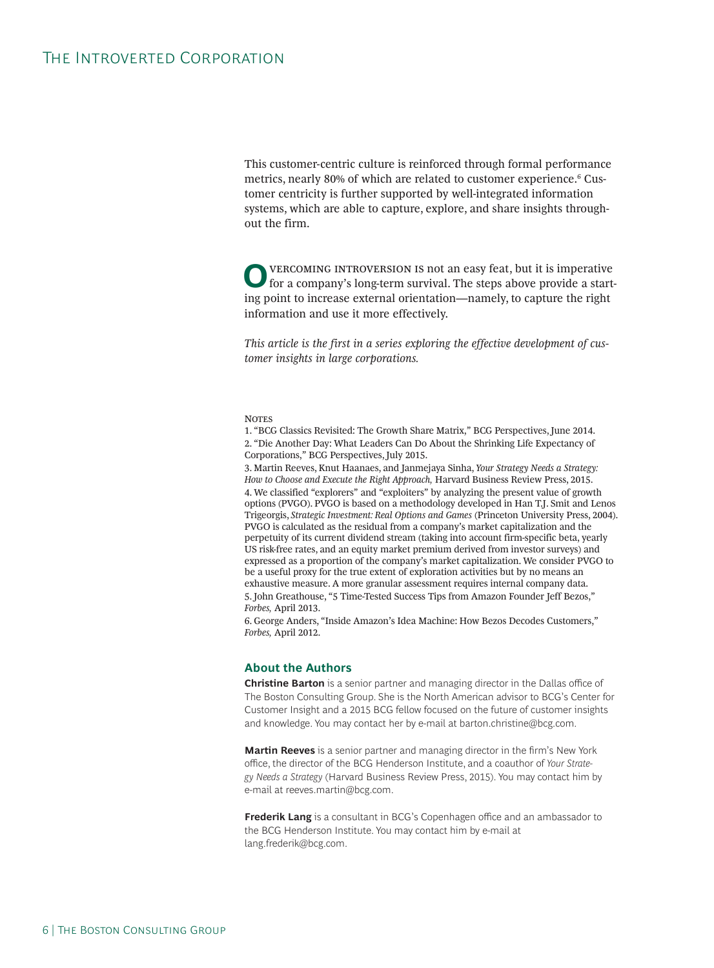This customer-centric culture is reinforced through formal performance metrics, nearly 80% of which are related to customer experience.<sup>6</sup> Customer centricity is further supported by well-integrated information systems, which are able to capture, explore, and share insights throughout the firm.

**O** VERCOMING INTROVERSION IS not an easy feat, but it is imperative for a company's long-term survival. The steps above provide a starting point to increase external orientation—namely, to capture the right information and use it more effectively.

*This article is the first in a series exploring the effective development of customer insights in large corporations.* 

#### **Notes**

1. "BCG Classics Revisited: The Growth Share Matrix," BCG Perspectives, June 2014. 2. "Die Another Day: What Leaders Can Do About the Shrinking Life Expectancy of Corporations," BCG Perspectives, July 2015.

3. Martin Reeves, Knut Haanaes, and Janmejaya Sinha, *Your Strategy Needs a Strategy: How to Choose and Execute the Right Approach,* Harvard Business Review Press, 2015. 4. We classified "explorers" and "exploiters" by analyzing the present value of growth options (PVGO). PVGO is based on a methodology developed in Han T.J. Smit and Lenos Trigeorgis, *Strategic Investment: Real Options and Games* (Princeton University Press, 2004). PVGO is calculated as the residual from a company's market capitalization and the perpetuity of its current dividend stream (taking into account firm-specific beta, yearly US risk-free rates, and an equity market premium derived from investor surveys) and expressed as a proportion of the company's market capitalization. We consider PVGO to be a useful proxy for the true extent of exploration activities but by no means an exhaustive measure. A more granular assessment requires internal company data. 5. John Greathouse, "5 Time-Tested Success Tips from Amazon Founder Jeff Bezos," *Forbes,* April 2013.

6. George Anders, "Inside Amazon's Idea Machine: How Bezos Decodes Customers," *Forbes,* April 2012.

#### **About the Authors**

**Christine Barton** is a senior partner and managing director in the Dallas office of The Boston Consulting Group. She is the North American advisor to BCG's Center for Customer Insight and a 2015 BCG fellow focused on the future of customer insights and knowledge. You may contact her by e-mail at barton.christine@bcg.com.

**Martin Reeves** is a senior partner and managing director in the firm's New York office, the director of the BCG Henderson Institute, and a coauthor of Your Strategy Needs a Strategy (Harvard Business Review Press, 2015). You may contact him by e-mail at reeves.martin@bcg.com.

Frederik Lang is a consultant in BCG's Copenhagen office and an ambassador to the BCG Henderson Institute. You may contact him by e-mail at lang.frederik@bcg.com.